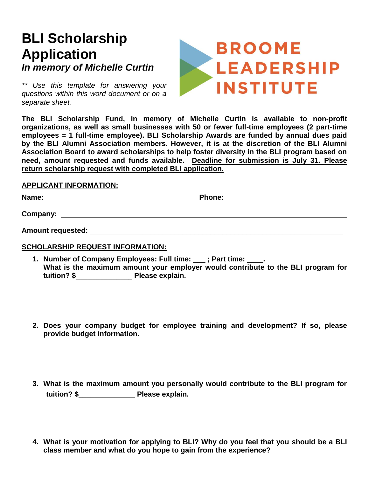## **BLI Scholarship Application** *In memory of Michelle Curtin*

*\*\* Use this template for answering your questions within this word document or on a separate sheet.*



**The BLI Scholarship Fund, in memory of Michelle Curtin is available to non-profit organizations, as well as small businesses with 50 or fewer full-time employees (2 part-time employees = 1 full-time employee). BLI Scholarship Awards are funded by annual dues paid by the BLI Alumni Association members. However, it is at the discretion of the BLI Alumni Association Board to award scholarships to help foster diversity in the BLI program based on need, amount requested and funds available. Deadline for submission is July 31. Please return scholarship request with completed BLI application.** 

## **APPLICANT INFORMATION:**

| Name |  |
|------|--|
|      |  |

**Name:** Phone: <u>**Name:** Phone: **Name:** Phone: **Name:** Phone: **Name:** Phone: 2014</u>

**Company:**

## **SCHOLARSHIP REQUEST INFORMATION:**

- **1. Number of Company Employees: Full time:** \_\_\_ **; Part time:** \_\_\_\_**. What is the maximum amount your employer would contribute to the BLI program for tuition? \$**\_\_\_\_\_\_\_\_\_\_\_\_\_\_ **Please explain.**
- **2. Does your company budget for employee training and development? If so, please provide budget information.**
- **3. What is the maximum amount you personally would contribute to the BLI program for tuition? \$**\_\_\_\_\_\_\_\_\_\_\_\_\_\_ **Please explain.**
- **4. What is your motivation for applying to BLI? Why do you feel that you should be a BLI class member and what do you hope to gain from the experience?**